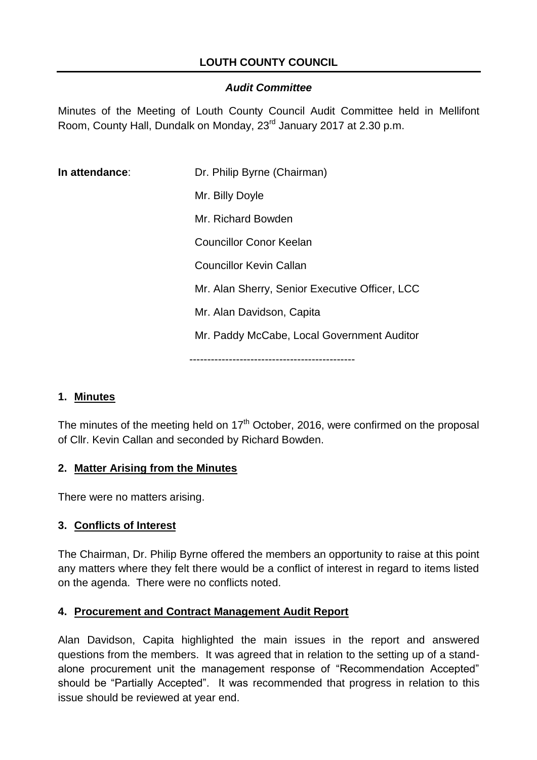### **LOUTH COUNTY COUNCIL**

#### *Audit Committee*

Minutes of the Meeting of Louth County Council Audit Committee held in Mellifont Room, County Hall, Dundalk on Monday, 23<sup>rd</sup> January 2017 at 2.30 p.m.

| In attendance: | Dr. Philip Byrne (Chairman)                    |
|----------------|------------------------------------------------|
|                | Mr. Billy Doyle                                |
|                | Mr. Richard Bowden                             |
|                | <b>Councillor Conor Keelan</b>                 |
|                | <b>Councillor Kevin Callan</b>                 |
|                | Mr. Alan Sherry, Senior Executive Officer, LCC |
|                | Mr. Alan Davidson, Capita                      |
|                | Mr. Paddy McCabe, Local Government Auditor     |
|                |                                                |

#### **1. Minutes**

The minutes of the meeting held on  $17<sup>th</sup>$  October, 2016, were confirmed on the proposal of Cllr. Kevin Callan and seconded by Richard Bowden.

#### **2. Matter Arising from the Minutes**

There were no matters arising.

#### **3. Conflicts of Interest**

The Chairman, Dr. Philip Byrne offered the members an opportunity to raise at this point any matters where they felt there would be a conflict of interest in regard to items listed on the agenda. There were no conflicts noted.

#### **4. Procurement and Contract Management Audit Report**

Alan Davidson, Capita highlighted the main issues in the report and answered questions from the members. It was agreed that in relation to the setting up of a standalone procurement unit the management response of "Recommendation Accepted" should be "Partially Accepted". It was recommended that progress in relation to this issue should be reviewed at year end.